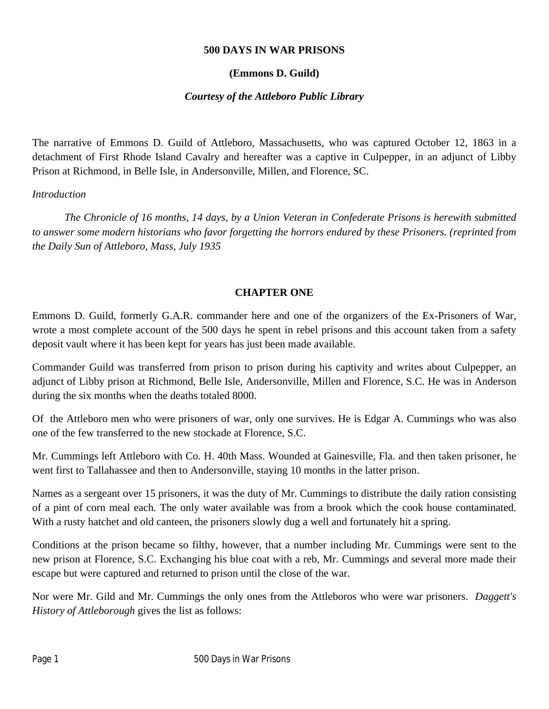### **500 DAYS IN WAR PRISONS**

#### **(Emmons D. Guild)**

### *Courtesy of the Attleboro Public Library*

The narrative of Emmons D. Guild of Attleboro, Massachusetts, who was captured October 12, 1863 in a detachment of First Rhode Island Cavalry and hereafter was a captive in Culpepper, in an adjunct of Libby Prison at Richmond, in Belle Isle, in Andersonville, Millen, and Florence, SC.

#### *Introduction*

*The Chronicle of 16 months, 14 days, by a Union Veteran in Confederate Prisons is herewith submitted to answer some modern historians who favor forgetting the horrors endured by these Prisoners. (reprinted from the Daily Sun of Attleboro, Mass, July 1935*

### **CHAPTER ONE**

Emmons D. Guild, formerly G.A.R. commander here and one of the organizers of the Ex-Prisoners of War, wrote a most complete account of the 500 days he spent in rebel prisons and this account taken from a safety deposit vault where it has been kept for years has just been made available.

Commander Guild was transferred from prison to prison during his captivity and writes about Culpepper, an adjunct of Libby prison at Richmond, Belle Isle, Andersonville, Millen and Florence, S.C. He was in Anderson during the six months when the deaths totaled 8000.

Of the Attleboro men who were prisoners of war, only one survives. He is Edgar A. Cummings who was also one of the few transferred to the new stockade at Florence, S.C.

Mr. Cummings left Attleboro with Co. H. 40th Mass. Wounded at Gainesville, Fla. and then taken prisoner, he went first to Tallahassee and then to Andersonville, staying 10 months in the latter prison.

Names as a sergeant over 15 prisoners, it was the duty of Mr. Cummings to distribute the daily ration consisting of a pint of corn meal each. The only water available was from a brook which the cook house contaminated. With a rusty hatchet and old canteen, the prisoners slowly dug a well and fortunately hit a spring.

Conditions at the prison became so filthy, however, that a number including Mr. Cummings were sent to the new prison at Florence, S.C. Exchanging his blue coat with a reb, Mr. Cummings and several more made their escape but were captured and returned to prison until the close of the war.

Nor were Mr. Gild and Mr. Cummings the only ones from the Attleboros who were war prisoners. *Daggett's History of Attleborough* gives the list as follows: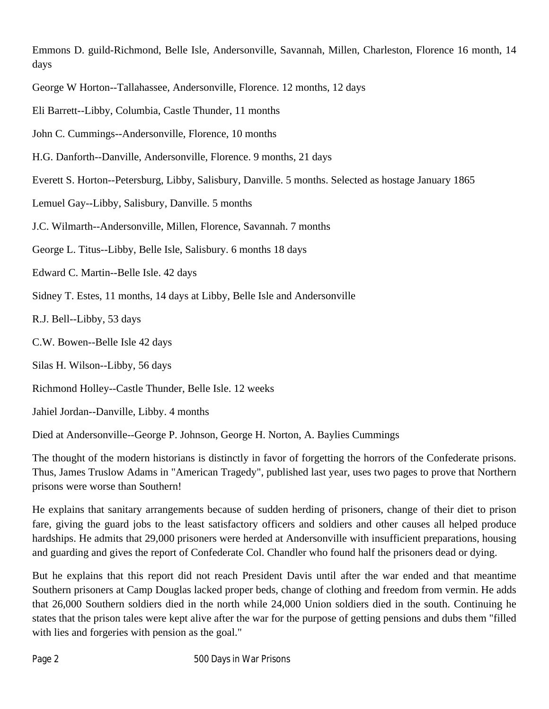Emmons D. guild-Richmond, Belle Isle, Andersonville, Savannah, Millen, Charleston, Florence 16 month, 14 days

- George W Horton--Tallahassee, Andersonville, Florence. 12 months, 12 days
- Eli Barrett--Libby, Columbia, Castle Thunder, 11 months
- John C. Cummings--Andersonville, Florence, 10 months
- H.G. Danforth--Danville, Andersonville, Florence. 9 months, 21 days
- Everett S. Horton--Petersburg, Libby, Salisbury, Danville. 5 months. Selected as hostage January 1865
- Lemuel Gay--Libby, Salisbury, Danville. 5 months
- J.C. Wilmarth--Andersonville, Millen, Florence, Savannah. 7 months
- George L. Titus--Libby, Belle Isle, Salisbury. 6 months 18 days
- Edward C. Martin--Belle Isle. 42 days
- Sidney T. Estes, 11 months, 14 days at Libby, Belle Isle and Andersonville
- R.J. Bell--Libby, 53 days
- C.W. Bowen--Belle Isle 42 days
- Silas H. Wilson--Libby, 56 days
- Richmond Holley--Castle Thunder, Belle Isle. 12 weeks
- Jahiel Jordan--Danville, Libby. 4 months
- Died at Andersonville--George P. Johnson, George H. Norton, A. Baylies Cummings

The thought of the modern historians is distinctly in favor of forgetting the horrors of the Confederate prisons. Thus, James Truslow Adams in "American Tragedy", published last year, uses two pages to prove that Northern prisons were worse than Southern!

He explains that sanitary arrangements because of sudden herding of prisoners, change of their diet to prison fare, giving the guard jobs to the least satisfactory officers and soldiers and other causes all helped produce hardships. He admits that 29,000 prisoners were herded at Andersonville with insufficient preparations, housing and guarding and gives the report of Confederate Col. Chandler who found half the prisoners dead or dying.

But he explains that this report did not reach President Davis until after the war ended and that meantime Southern prisoners at Camp Douglas lacked proper beds, change of clothing and freedom from vermin. He adds that 26,000 Southern soldiers died in the north while 24,000 Union soldiers died in the south. Continuing he states that the prison tales were kept alive after the war for the purpose of getting pensions and dubs them "filled with lies and forgeries with pension as the goal."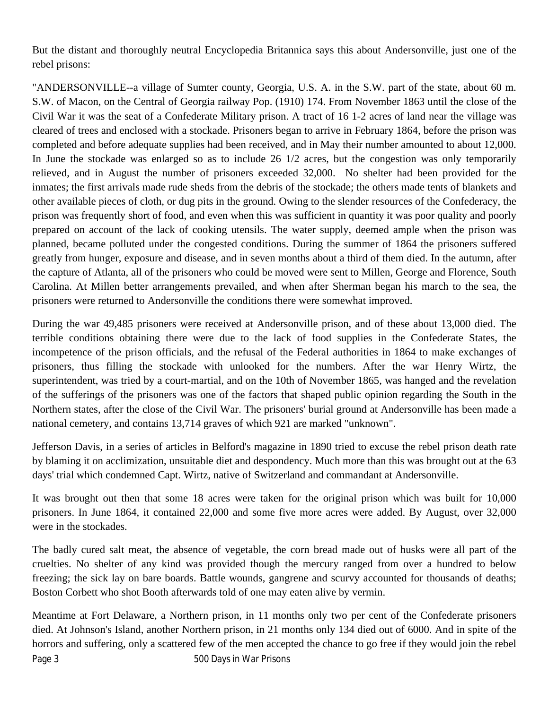But the distant and thoroughly neutral Encyclopedia Britannica says this about Andersonville, just one of the rebel prisons:

"ANDERSONVILLE--a village of Sumter county, Georgia, U.S. A. in the S.W. part of the state, about 60 m. S.W. of Macon, on the Central of Georgia railway Pop. (1910) 174. From November 1863 until the close of the Civil War it was the seat of a Confederate Military prison. A tract of 16 1-2 acres of land near the village was cleared of trees and enclosed with a stockade. Prisoners began to arrive in February 1864, before the prison was completed and before adequate supplies had been received, and in May their number amounted to about 12,000. In June the stockade was enlarged so as to include 26 1/2 acres, but the congestion was only temporarily relieved, and in August the number of prisoners exceeded 32,000. No shelter had been provided for the inmates; the first arrivals made rude sheds from the debris of the stockade; the others made tents of blankets and other available pieces of cloth, or dug pits in the ground. Owing to the slender resources of the Confederacy, the prison was frequently short of food, and even when this was sufficient in quantity it was poor quality and poorly prepared on account of the lack of cooking utensils. The water supply, deemed ample when the prison was planned, became polluted under the congested conditions. During the summer of 1864 the prisoners suffered greatly from hunger, exposure and disease, and in seven months about a third of them died. In the autumn, after the capture of Atlanta, all of the prisoners who could be moved were sent to Millen, George and Florence, South Carolina. At Millen better arrangements prevailed, and when after Sherman began his march to the sea, the prisoners were returned to Andersonville the conditions there were somewhat improved.

During the war 49,485 prisoners were received at Andersonville prison, and of these about 13,000 died. The terrible conditions obtaining there were due to the lack of food supplies in the Confederate States, the incompetence of the prison officials, and the refusal of the Federal authorities in 1864 to make exchanges of prisoners, thus filling the stockade with unlooked for the numbers. After the war Henry Wirtz, the superintendent, was tried by a court-martial, and on the 10th of November 1865, was hanged and the revelation of the sufferings of the prisoners was one of the factors that shaped public opinion regarding the South in the Northern states, after the close of the Civil War. The prisoners' burial ground at Andersonville has been made a national cemetery, and contains 13,714 graves of which 921 are marked "unknown".

Jefferson Davis, in a series of articles in Belford's magazine in 1890 tried to excuse the rebel prison death rate by blaming it on acclimization, unsuitable diet and despondency. Much more than this was brought out at the 63 days' trial which condemned Capt. Wirtz, native of Switzerland and commandant at Andersonville.

It was brought out then that some 18 acres were taken for the original prison which was built for 10,000 prisoners. In June 1864, it contained 22,000 and some five more acres were added. By August, over 32,000 were in the stockades.

The badly cured salt meat, the absence of vegetable, the corn bread made out of husks were all part of the cruelties. No shelter of any kind was provided though the mercury ranged from over a hundred to below freezing; the sick lay on bare boards. Battle wounds, gangrene and scurvy accounted for thousands of deaths; Boston Corbett who shot Booth afterwards told of one may eaten alive by vermin.

Meantime at Fort Delaware, a Northern prison, in 11 months only two per cent of the Confederate prisoners died. At Johnson's Island, another Northern prison, in 21 months only 134 died out of 6000. And in spite of the horrors and suffering, only a scattered few of the men accepted the chance to go free if they would join the rebel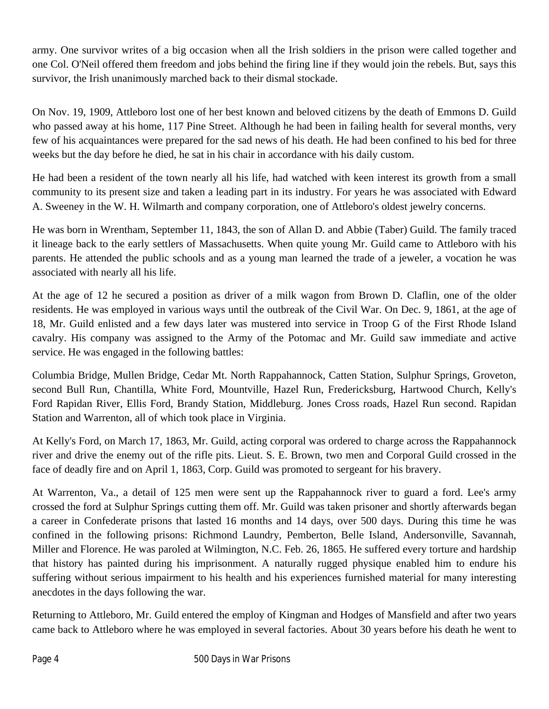army. One survivor writes of a big occasion when all the Irish soldiers in the prison were called together and one Col. O'Neil offered them freedom and jobs behind the firing line if they would join the rebels. But, says this survivor, the Irish unanimously marched back to their dismal stockade.

On Nov. 19, 1909, Attleboro lost one of her best known and beloved citizens by the death of Emmons D. Guild who passed away at his home, 117 Pine Street. Although he had been in failing health for several months, very few of his acquaintances were prepared for the sad news of his death. He had been confined to his bed for three weeks but the day before he died, he sat in his chair in accordance with his daily custom.

He had been a resident of the town nearly all his life, had watched with keen interest its growth from a small community to its present size and taken a leading part in its industry. For years he was associated with Edward A. Sweeney in the W. H. Wilmarth and company corporation, one of Attleboro's oldest jewelry concerns.

He was born in Wrentham, September 11, 1843, the son of Allan D. and Abbie (Taber) Guild. The family traced it lineage back to the early settlers of Massachusetts. When quite young Mr. Guild came to Attleboro with his parents. He attended the public schools and as a young man learned the trade of a jeweler, a vocation he was associated with nearly all his life.

At the age of 12 he secured a position as driver of a milk wagon from Brown D. Claflin, one of the older residents. He was employed in various ways until the outbreak of the Civil War. On Dec. 9, 1861, at the age of 18, Mr. Guild enlisted and a few days later was mustered into service in Troop G of the First Rhode Island cavalry. His company was assigned to the Army of the Potomac and Mr. Guild saw immediate and active service. He was engaged in the following battles:

Columbia Bridge, Mullen Bridge, Cedar Mt. North Rappahannock, Catten Station, Sulphur Springs, Groveton, second Bull Run, Chantilla, White Ford, Mountville, Hazel Run, Fredericksburg, Hartwood Church, Kelly's Ford Rapidan River, Ellis Ford, Brandy Station, Middleburg. Jones Cross roads, Hazel Run second. Rapidan Station and Warrenton, all of which took place in Virginia.

At Kelly's Ford, on March 17, 1863, Mr. Guild, acting corporal was ordered to charge across the Rappahannock river and drive the enemy out of the rifle pits. Lieut. S. E. Brown, two men and Corporal Guild crossed in the face of deadly fire and on April 1, 1863, Corp. Guild was promoted to sergeant for his bravery.

At Warrenton, Va., a detail of 125 men were sent up the Rappahannock river to guard a ford. Lee's army crossed the ford at Sulphur Springs cutting them off. Mr. Guild was taken prisoner and shortly afterwards began a career in Confederate prisons that lasted 16 months and 14 days, over 500 days. During this time he was confined in the following prisons: Richmond Laundry, Pemberton, Belle Island, Andersonville, Savannah, Miller and Florence. He was paroled at Wilmington, N.C. Feb. 26, 1865. He suffered every torture and hardship that history has painted during his imprisonment. A naturally rugged physique enabled him to endure his suffering without serious impairment to his health and his experiences furnished material for many interesting anecdotes in the days following the war.

Returning to Attleboro, Mr. Guild entered the employ of Kingman and Hodges of Mansfield and after two years came back to Attleboro where he was employed in several factories. About 30 years before his death he went to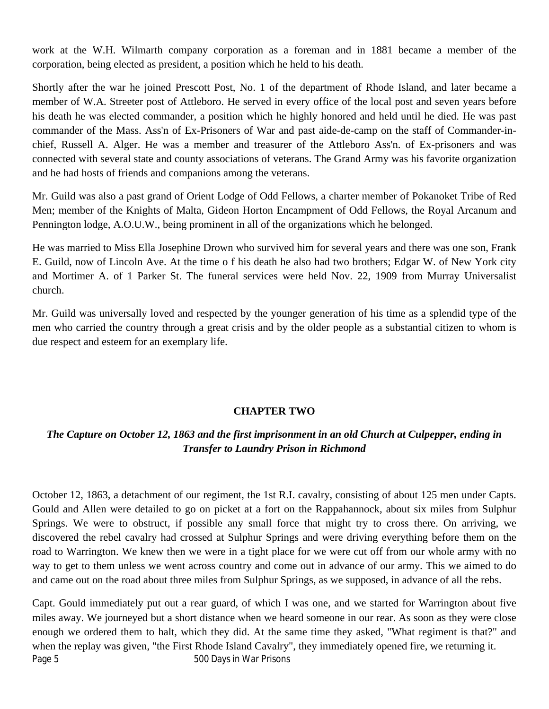work at the W.H. Wilmarth company corporation as a foreman and in 1881 became a member of the corporation, being elected as president, a position which he held to his death.

Shortly after the war he joined Prescott Post, No. 1 of the department of Rhode Island, and later became a member of W.A. Streeter post of Attleboro. He served in every office of the local post and seven years before his death he was elected commander, a position which he highly honored and held until he died. He was past commander of the Mass. Ass'n of Ex-Prisoners of War and past aide-de-camp on the staff of Commander-inchief, Russell A. Alger. He was a member and treasurer of the Attleboro Ass'n. of Ex-prisoners and was connected with several state and county associations of veterans. The Grand Army was his favorite organization and he had hosts of friends and companions among the veterans.

Mr. Guild was also a past grand of Orient Lodge of Odd Fellows, a charter member of Pokanoket Tribe of Red Men; member of the Knights of Malta, Gideon Horton Encampment of Odd Fellows, the Royal Arcanum and Pennington lodge, A.O.U.W., being prominent in all of the organizations which he belonged.

He was married to Miss Ella Josephine Drown who survived him for several years and there was one son, Frank E. Guild, now of Lincoln Ave. At the time o f his death he also had two brothers; Edgar W. of New York city and Mortimer A. of 1 Parker St. The funeral services were held Nov. 22, 1909 from Murray Universalist church.

Mr. Guild was universally loved and respected by the younger generation of his time as a splendid type of the men who carried the country through a great crisis and by the older people as a substantial citizen to whom is due respect and esteem for an exemplary life.

## **CHAPTER TWO**

## *The Capture on October 12, 1863 and the first imprisonment in an old Church at Culpepper, ending in Transfer to Laundry Prison in Richmond*

October 12, 1863, a detachment of our regiment, the 1st R.I. cavalry, consisting of about 125 men under Capts. Gould and Allen were detailed to go on picket at a fort on the Rappahannock, about six miles from Sulphur Springs. We were to obstruct, if possible any small force that might try to cross there. On arriving, we discovered the rebel cavalry had crossed at Sulphur Springs and were driving everything before them on the road to Warrington. We knew then we were in a tight place for we were cut off from our whole army with no way to get to them unless we went across country and come out in advance of our army. This we aimed to do and came out on the road about three miles from Sulphur Springs, as we supposed, in advance of all the rebs.

Page 5 500 Days in War Prisons Capt. Gould immediately put out a rear guard, of which I was one, and we started for Warrington about five miles away. We journeyed but a short distance when we heard someone in our rear. As soon as they were close enough we ordered them to halt, which they did. At the same time they asked, "What regiment is that?" and when the replay was given, "the First Rhode Island Cavalry", they immediately opened fire, we returning it.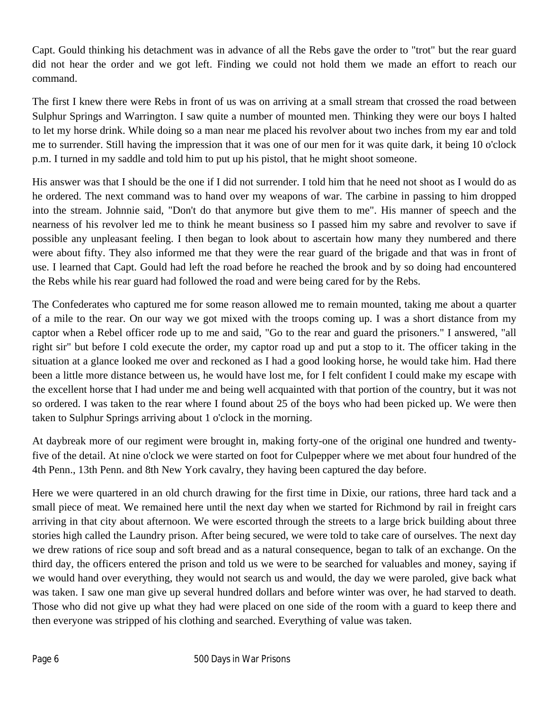Capt. Gould thinking his detachment was in advance of all the Rebs gave the order to "trot" but the rear guard did not hear the order and we got left. Finding we could not hold them we made an effort to reach our command.

The first I knew there were Rebs in front of us was on arriving at a small stream that crossed the road between Sulphur Springs and Warrington. I saw quite a number of mounted men. Thinking they were our boys I halted to let my horse drink. While doing so a man near me placed his revolver about two inches from my ear and told me to surrender. Still having the impression that it was one of our men for it was quite dark, it being 10 o'clock p.m. I turned in my saddle and told him to put up his pistol, that he might shoot someone.

His answer was that I should be the one if I did not surrender. I told him that he need not shoot as I would do as he ordered. The next command was to hand over my weapons of war. The carbine in passing to him dropped into the stream. Johnnie said, "Don't do that anymore but give them to me". His manner of speech and the nearness of his revolver led me to think he meant business so I passed him my sabre and revolver to save if possible any unpleasant feeling. I then began to look about to ascertain how many they numbered and there were about fifty. They also informed me that they were the rear guard of the brigade and that was in front of use. I learned that Capt. Gould had left the road before he reached the brook and by so doing had encountered the Rebs while his rear guard had followed the road and were being cared for by the Rebs.

The Confederates who captured me for some reason allowed me to remain mounted, taking me about a quarter of a mile to the rear. On our way we got mixed with the troops coming up. I was a short distance from my captor when a Rebel officer rode up to me and said, "Go to the rear and guard the prisoners." I answered, "all right sir" but before I cold execute the order, my captor road up and put a stop to it. The officer taking in the situation at a glance looked me over and reckoned as I had a good looking horse, he would take him. Had there been a little more distance between us, he would have lost me, for I felt confident I could make my escape with the excellent horse that I had under me and being well acquainted with that portion of the country, but it was not so ordered. I was taken to the rear where I found about 25 of the boys who had been picked up. We were then taken to Sulphur Springs arriving about 1 o'clock in the morning.

At daybreak more of our regiment were brought in, making forty-one of the original one hundred and twentyfive of the detail. At nine o'clock we were started on foot for Culpepper where we met about four hundred of the 4th Penn., 13th Penn. and 8th New York cavalry, they having been captured the day before.

Here we were quartered in an old church drawing for the first time in Dixie, our rations, three hard tack and a small piece of meat. We remained here until the next day when we started for Richmond by rail in freight cars arriving in that city about afternoon. We were escorted through the streets to a large brick building about three stories high called the Laundry prison. After being secured, we were told to take care of ourselves. The next day we drew rations of rice soup and soft bread and as a natural consequence, began to talk of an exchange. On the third day, the officers entered the prison and told us we were to be searched for valuables and money, saying if we would hand over everything, they would not search us and would, the day we were paroled, give back what was taken. I saw one man give up several hundred dollars and before winter was over, he had starved to death. Those who did not give up what they had were placed on one side of the room with a guard to keep there and then everyone was stripped of his clothing and searched. Everything of value was taken.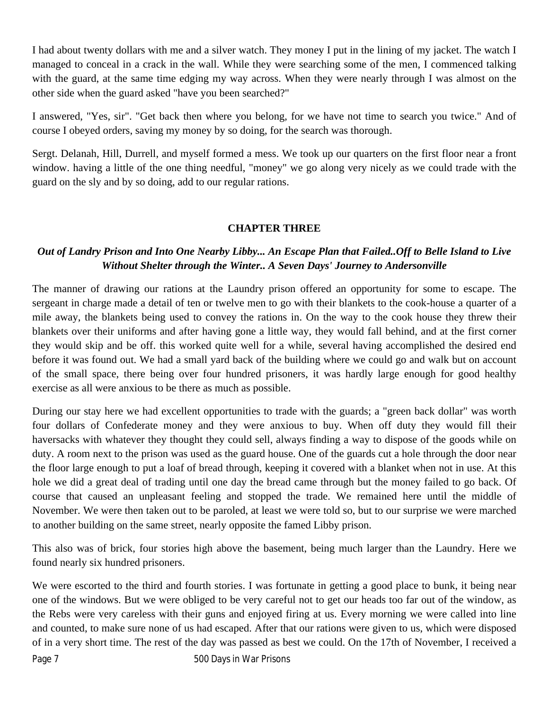I had about twenty dollars with me and a silver watch. They money I put in the lining of my jacket. The watch I managed to conceal in a crack in the wall. While they were searching some of the men, I commenced talking with the guard, at the same time edging my way across. When they were nearly through I was almost on the other side when the guard asked "have you been searched?"

I answered, "Yes, sir". "Get back then where you belong, for we have not time to search you twice." And of course I obeyed orders, saving my money by so doing, for the search was thorough.

Sergt. Delanah, Hill, Durrell, and myself formed a mess. We took up our quarters on the first floor near a front window. having a little of the one thing needful, "money" we go along very nicely as we could trade with the guard on the sly and by so doing, add to our regular rations.

## **CHAPTER THREE**

## *Out of Landry Prison and Into One Nearby Libby... An Escape Plan that Failed..Off to Belle Island to Live Without Shelter through the Winter.. A Seven Days' Journey to Andersonville*

The manner of drawing our rations at the Laundry prison offered an opportunity for some to escape. The sergeant in charge made a detail of ten or twelve men to go with their blankets to the cook-house a quarter of a mile away, the blankets being used to convey the rations in. On the way to the cook house they threw their blankets over their uniforms and after having gone a little way, they would fall behind, and at the first corner they would skip and be off. this worked quite well for a while, several having accomplished the desired end before it was found out. We had a small yard back of the building where we could go and walk but on account of the small space, there being over four hundred prisoners, it was hardly large enough for good healthy exercise as all were anxious to be there as much as possible.

During our stay here we had excellent opportunities to trade with the guards; a "green back dollar" was worth four dollars of Confederate money and they were anxious to buy. When off duty they would fill their haversacks with whatever they thought they could sell, always finding a way to dispose of the goods while on duty. A room next to the prison was used as the guard house. One of the guards cut a hole through the door near the floor large enough to put a loaf of bread through, keeping it covered with a blanket when not in use. At this hole we did a great deal of trading until one day the bread came through but the money failed to go back. Of course that caused an unpleasant feeling and stopped the trade. We remained here until the middle of November. We were then taken out to be paroled, at least we were told so, but to our surprise we were marched to another building on the same street, nearly opposite the famed Libby prison.

This also was of brick, four stories high above the basement, being much larger than the Laundry. Here we found nearly six hundred prisoners.

We were escorted to the third and fourth stories. I was fortunate in getting a good place to bunk, it being near one of the windows. But we were obliged to be very careful not to get our heads too far out of the window, as the Rebs were very careless with their guns and enjoyed firing at us. Every morning we were called into line and counted, to make sure none of us had escaped. After that our rations were given to us, which were disposed of in a very short time. The rest of the day was passed as best we could. On the 17th of November, I received a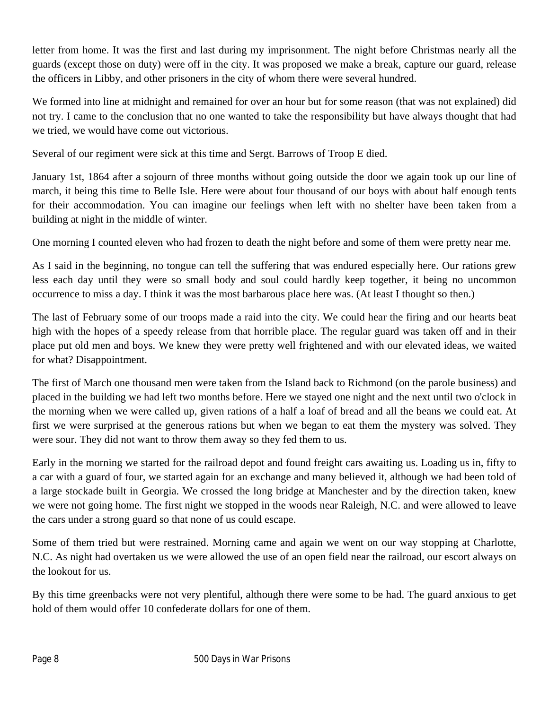letter from home. It was the first and last during my imprisonment. The night before Christmas nearly all the guards (except those on duty) were off in the city. It was proposed we make a break, capture our guard, release the officers in Libby, and other prisoners in the city of whom there were several hundred.

We formed into line at midnight and remained for over an hour but for some reason (that was not explained) did not try. I came to the conclusion that no one wanted to take the responsibility but have always thought that had we tried, we would have come out victorious.

Several of our regiment were sick at this time and Sergt. Barrows of Troop E died.

January 1st, 1864 after a sojourn of three months without going outside the door we again took up our line of march, it being this time to Belle Isle. Here were about four thousand of our boys with about half enough tents for their accommodation. You can imagine our feelings when left with no shelter have been taken from a building at night in the middle of winter.

One morning I counted eleven who had frozen to death the night before and some of them were pretty near me.

As I said in the beginning, no tongue can tell the suffering that was endured especially here. Our rations grew less each day until they were so small body and soul could hardly keep together, it being no uncommon occurrence to miss a day. I think it was the most barbarous place here was. (At least I thought so then.)

The last of February some of our troops made a raid into the city. We could hear the firing and our hearts beat high with the hopes of a speedy release from that horrible place. The regular guard was taken off and in their place put old men and boys. We knew they were pretty well frightened and with our elevated ideas, we waited for what? Disappointment.

The first of March one thousand men were taken from the Island back to Richmond (on the parole business) and placed in the building we had left two months before. Here we stayed one night and the next until two o'clock in the morning when we were called up, given rations of a half a loaf of bread and all the beans we could eat. At first we were surprised at the generous rations but when we began to eat them the mystery was solved. They were sour. They did not want to throw them away so they fed them to us.

Early in the morning we started for the railroad depot and found freight cars awaiting us. Loading us in, fifty to a car with a guard of four, we started again for an exchange and many believed it, although we had been told of a large stockade built in Georgia. We crossed the long bridge at Manchester and by the direction taken, knew we were not going home. The first night we stopped in the woods near Raleigh, N.C. and were allowed to leave the cars under a strong guard so that none of us could escape.

Some of them tried but were restrained. Morning came and again we went on our way stopping at Charlotte, N.C. As night had overtaken us we were allowed the use of an open field near the railroad, our escort always on the lookout for us.

By this time greenbacks were not very plentiful, although there were some to be had. The guard anxious to get hold of them would offer 10 confederate dollars for one of them.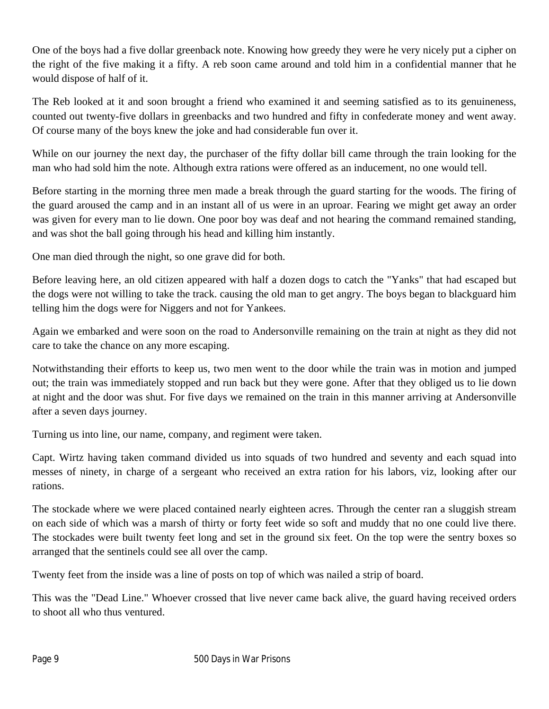One of the boys had a five dollar greenback note. Knowing how greedy they were he very nicely put a cipher on the right of the five making it a fifty. A reb soon came around and told him in a confidential manner that he would dispose of half of it.

The Reb looked at it and soon brought a friend who examined it and seeming satisfied as to its genuineness, counted out twenty-five dollars in greenbacks and two hundred and fifty in confederate money and went away. Of course many of the boys knew the joke and had considerable fun over it.

While on our journey the next day, the purchaser of the fifty dollar bill came through the train looking for the man who had sold him the note. Although extra rations were offered as an inducement, no one would tell.

Before starting in the morning three men made a break through the guard starting for the woods. The firing of the guard aroused the camp and in an instant all of us were in an uproar. Fearing we might get away an order was given for every man to lie down. One poor boy was deaf and not hearing the command remained standing, and was shot the ball going through his head and killing him instantly.

One man died through the night, so one grave did for both.

Before leaving here, an old citizen appeared with half a dozen dogs to catch the "Yanks" that had escaped but the dogs were not willing to take the track. causing the old man to get angry. The boys began to blackguard him telling him the dogs were for Niggers and not for Yankees.

Again we embarked and were soon on the road to Andersonville remaining on the train at night as they did not care to take the chance on any more escaping.

Notwithstanding their efforts to keep us, two men went to the door while the train was in motion and jumped out; the train was immediately stopped and run back but they were gone. After that they obliged us to lie down at night and the door was shut. For five days we remained on the train in this manner arriving at Andersonville after a seven days journey.

Turning us into line, our name, company, and regiment were taken.

Capt. Wirtz having taken command divided us into squads of two hundred and seventy and each squad into messes of ninety, in charge of a sergeant who received an extra ration for his labors, viz, looking after our rations.

The stockade where we were placed contained nearly eighteen acres. Through the center ran a sluggish stream on each side of which was a marsh of thirty or forty feet wide so soft and muddy that no one could live there. The stockades were built twenty feet long and set in the ground six feet. On the top were the sentry boxes so arranged that the sentinels could see all over the camp.

Twenty feet from the inside was a line of posts on top of which was nailed a strip of board.

This was the "Dead Line." Whoever crossed that live never came back alive, the guard having received orders to shoot all who thus ventured.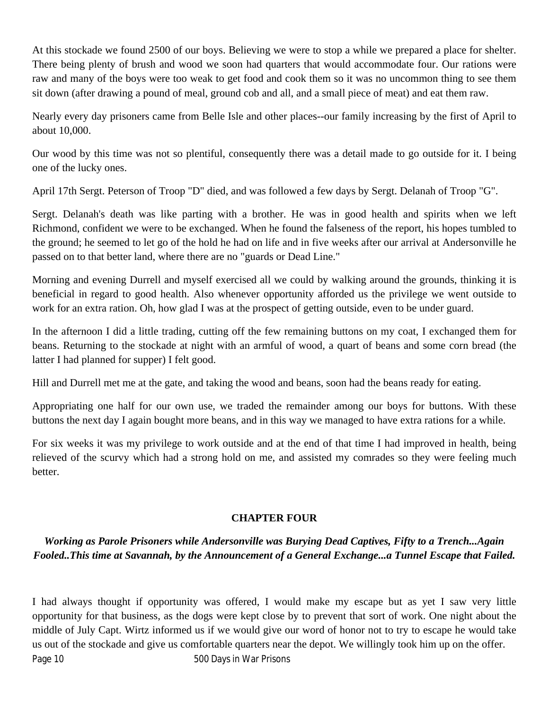At this stockade we found 2500 of our boys. Believing we were to stop a while we prepared a place for shelter. There being plenty of brush and wood we soon had quarters that would accommodate four. Our rations were raw and many of the boys were too weak to get food and cook them so it was no uncommon thing to see them sit down (after drawing a pound of meal, ground cob and all, and a small piece of meat) and eat them raw.

Nearly every day prisoners came from Belle Isle and other places--our family increasing by the first of April to about 10,000.

Our wood by this time was not so plentiful, consequently there was a detail made to go outside for it. I being one of the lucky ones.

April 17th Sergt. Peterson of Troop "D" died, and was followed a few days by Sergt. Delanah of Troop "G".

Sergt. Delanah's death was like parting with a brother. He was in good health and spirits when we left Richmond, confident we were to be exchanged. When he found the falseness of the report, his hopes tumbled to the ground; he seemed to let go of the hold he had on life and in five weeks after our arrival at Andersonville he passed on to that better land, where there are no "guards or Dead Line."

Morning and evening Durrell and myself exercised all we could by walking around the grounds, thinking it is beneficial in regard to good health. Also whenever opportunity afforded us the privilege we went outside to work for an extra ration. Oh, how glad I was at the prospect of getting outside, even to be under guard.

In the afternoon I did a little trading, cutting off the few remaining buttons on my coat, I exchanged them for beans. Returning to the stockade at night with an armful of wood, a quart of beans and some corn bread (the latter I had planned for supper) I felt good.

Hill and Durrell met me at the gate, and taking the wood and beans, soon had the beans ready for eating.

Appropriating one half for our own use, we traded the remainder among our boys for buttons. With these buttons the next day I again bought more beans, and in this way we managed to have extra rations for a while.

For six weeks it was my privilege to work outside and at the end of that time I had improved in health, being relieved of the scurvy which had a strong hold on me, and assisted my comrades so they were feeling much better.

# **CHAPTER FOUR**

# *Working as Parole Prisoners while Andersonville was Burying Dead Captives, Fifty to a Trench...Again Fooled..This time at Savannah, by the Announcement of a General Exchange...a Tunnel Escape that Failed.*

Page 10 500 Days in War Prisons I had always thought if opportunity was offered, I would make my escape but as yet I saw very little opportunity for that business, as the dogs were kept close by to prevent that sort of work. One night about the middle of July Capt. Wirtz informed us if we would give our word of honor not to try to escape he would take us out of the stockade and give us comfortable quarters near the depot. We willingly took him up on the offer.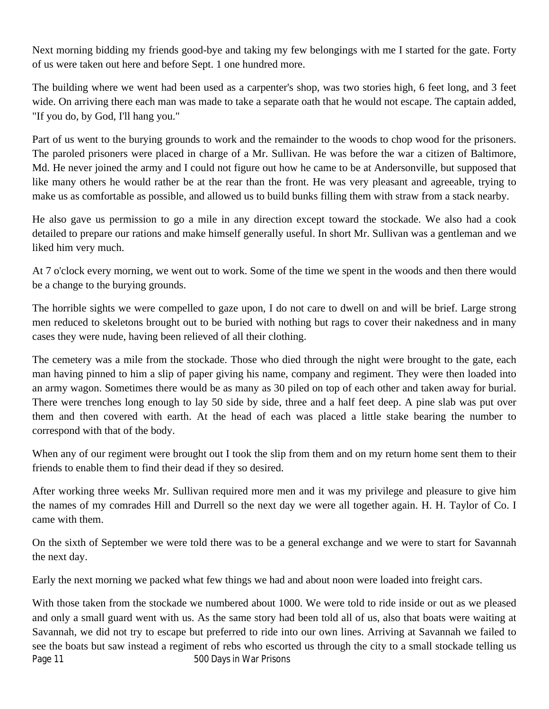Next morning bidding my friends good-bye and taking my few belongings with me I started for the gate. Forty of us were taken out here and before Sept. 1 one hundred more.

The building where we went had been used as a carpenter's shop, was two stories high, 6 feet long, and 3 feet wide. On arriving there each man was made to take a separate oath that he would not escape. The captain added, "If you do, by God, I'll hang you."

Part of us went to the burying grounds to work and the remainder to the woods to chop wood for the prisoners. The paroled prisoners were placed in charge of a Mr. Sullivan. He was before the war a citizen of Baltimore, Md. He never joined the army and I could not figure out how he came to be at Andersonville, but supposed that like many others he would rather be at the rear than the front. He was very pleasant and agreeable, trying to make us as comfortable as possible, and allowed us to build bunks filling them with straw from a stack nearby.

He also gave us permission to go a mile in any direction except toward the stockade. We also had a cook detailed to prepare our rations and make himself generally useful. In short Mr. Sullivan was a gentleman and we liked him very much.

At 7 o'clock every morning, we went out to work. Some of the time we spent in the woods and then there would be a change to the burying grounds.

The horrible sights we were compelled to gaze upon, I do not care to dwell on and will be brief. Large strong men reduced to skeletons brought out to be buried with nothing but rags to cover their nakedness and in many cases they were nude, having been relieved of all their clothing.

The cemetery was a mile from the stockade. Those who died through the night were brought to the gate, each man having pinned to him a slip of paper giving his name, company and regiment. They were then loaded into an army wagon. Sometimes there would be as many as 30 piled on top of each other and taken away for burial. There were trenches long enough to lay 50 side by side, three and a half feet deep. A pine slab was put over them and then covered with earth. At the head of each was placed a little stake bearing the number to correspond with that of the body.

When any of our regiment were brought out I took the slip from them and on my return home sent them to their friends to enable them to find their dead if they so desired.

After working three weeks Mr. Sullivan required more men and it was my privilege and pleasure to give him the names of my comrades Hill and Durrell so the next day we were all together again. H. H. Taylor of Co. I came with them.

On the sixth of September we were told there was to be a general exchange and we were to start for Savannah the next day.

Early the next morning we packed what few things we had and about noon were loaded into freight cars.

Page 11 Figure 200 Days in War Prisons With those taken from the stockade we numbered about 1000. We were told to ride inside or out as we pleased and only a small guard went with us. As the same story had been told all of us, also that boats were waiting at Savannah, we did not try to escape but preferred to ride into our own lines. Arriving at Savannah we failed to see the boats but saw instead a regiment of rebs who escorted us through the city to a small stockade telling us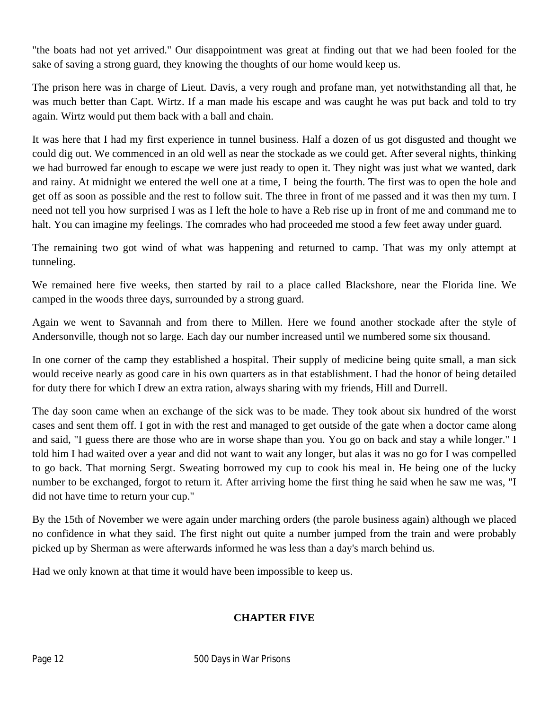"the boats had not yet arrived." Our disappointment was great at finding out that we had been fooled for the sake of saving a strong guard, they knowing the thoughts of our home would keep us.

The prison here was in charge of Lieut. Davis, a very rough and profane man, yet notwithstanding all that, he was much better than Capt. Wirtz. If a man made his escape and was caught he was put back and told to try again. Wirtz would put them back with a ball and chain.

It was here that I had my first experience in tunnel business. Half a dozen of us got disgusted and thought we could dig out. We commenced in an old well as near the stockade as we could get. After several nights, thinking we had burrowed far enough to escape we were just ready to open it. They night was just what we wanted, dark and rainy. At midnight we entered the well one at a time, I being the fourth. The first was to open the hole and get off as soon as possible and the rest to follow suit. The three in front of me passed and it was then my turn. I need not tell you how surprised I was as I left the hole to have a Reb rise up in front of me and command me to halt. You can imagine my feelings. The comrades who had proceeded me stood a few feet away under guard.

The remaining two got wind of what was happening and returned to camp. That was my only attempt at tunneling.

We remained here five weeks, then started by rail to a place called Blackshore, near the Florida line. We camped in the woods three days, surrounded by a strong guard.

Again we went to Savannah and from there to Millen. Here we found another stockade after the style of Andersonville, though not so large. Each day our number increased until we numbered some six thousand.

In one corner of the camp they established a hospital. Their supply of medicine being quite small, a man sick would receive nearly as good care in his own quarters as in that establishment. I had the honor of being detailed for duty there for which I drew an extra ration, always sharing with my friends, Hill and Durrell.

The day soon came when an exchange of the sick was to be made. They took about six hundred of the worst cases and sent them off. I got in with the rest and managed to get outside of the gate when a doctor came along and said, "I guess there are those who are in worse shape than you. You go on back and stay a while longer." I told him I had waited over a year and did not want to wait any longer, but alas it was no go for I was compelled to go back. That morning Sergt. Sweating borrowed my cup to cook his meal in. He being one of the lucky number to be exchanged, forgot to return it. After arriving home the first thing he said when he saw me was, "I did not have time to return your cup."

By the 15th of November we were again under marching orders (the parole business again) although we placed no confidence in what they said. The first night out quite a number jumped from the train and were probably picked up by Sherman as were afterwards informed he was less than a day's march behind us.

Had we only known at that time it would have been impossible to keep us.

## **CHAPTER FIVE**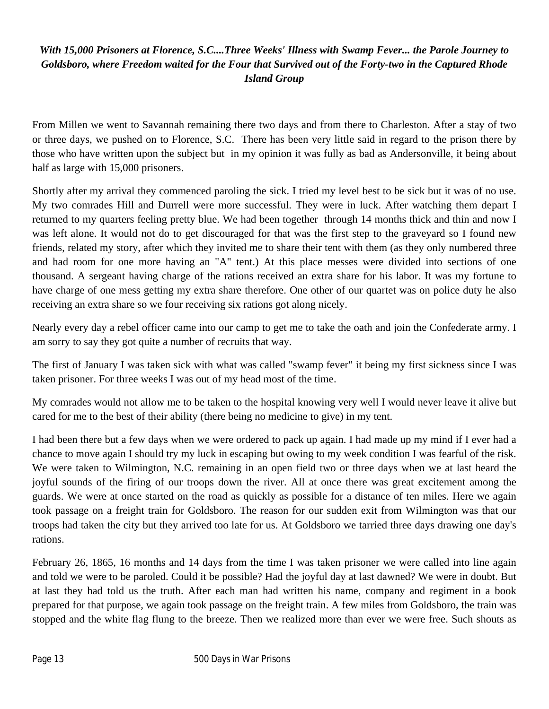# *With 15,000 Prisoners at Florence, S.C....Three Weeks' Illness with Swamp Fever... the Parole Journey to Goldsboro, where Freedom waited for the Four that Survived out of the Forty-two in the Captured Rhode Island Group*

From Millen we went to Savannah remaining there two days and from there to Charleston. After a stay of two or three days, we pushed on to Florence, S.C. There has been very little said in regard to the prison there by those who have written upon the subject but in my opinion it was fully as bad as Andersonville, it being about half as large with 15,000 prisoners.

Shortly after my arrival they commenced paroling the sick. I tried my level best to be sick but it was of no use. My two comrades Hill and Durrell were more successful. They were in luck. After watching them depart I returned to my quarters feeling pretty blue. We had been together through 14 months thick and thin and now I was left alone. It would not do to get discouraged for that was the first step to the graveyard so I found new friends, related my story, after which they invited me to share their tent with them (as they only numbered three and had room for one more having an "A" tent.) At this place messes were divided into sections of one thousand. A sergeant having charge of the rations received an extra share for his labor. It was my fortune to have charge of one mess getting my extra share therefore. One other of our quartet was on police duty he also receiving an extra share so we four receiving six rations got along nicely.

Nearly every day a rebel officer came into our camp to get me to take the oath and join the Confederate army. I am sorry to say they got quite a number of recruits that way.

The first of January I was taken sick with what was called "swamp fever" it being my first sickness since I was taken prisoner. For three weeks I was out of my head most of the time.

My comrades would not allow me to be taken to the hospital knowing very well I would never leave it alive but cared for me to the best of their ability (there being no medicine to give) in my tent.

I had been there but a few days when we were ordered to pack up again. I had made up my mind if I ever had a chance to move again I should try my luck in escaping but owing to my week condition I was fearful of the risk. We were taken to Wilmington, N.C. remaining in an open field two or three days when we at last heard the joyful sounds of the firing of our troops down the river. All at once there was great excitement among the guards. We were at once started on the road as quickly as possible for a distance of ten miles. Here we again took passage on a freight train for Goldsboro. The reason for our sudden exit from Wilmington was that our troops had taken the city but they arrived too late for us. At Goldsboro we tarried three days drawing one day's rations.

February 26, 1865, 16 months and 14 days from the time I was taken prisoner we were called into line again and told we were to be paroled. Could it be possible? Had the joyful day at last dawned? We were in doubt. But at last they had told us the truth. After each man had written his name, company and regiment in a book prepared for that purpose, we again took passage on the freight train. A few miles from Goldsboro, the train was stopped and the white flag flung to the breeze. Then we realized more than ever we were free. Such shouts as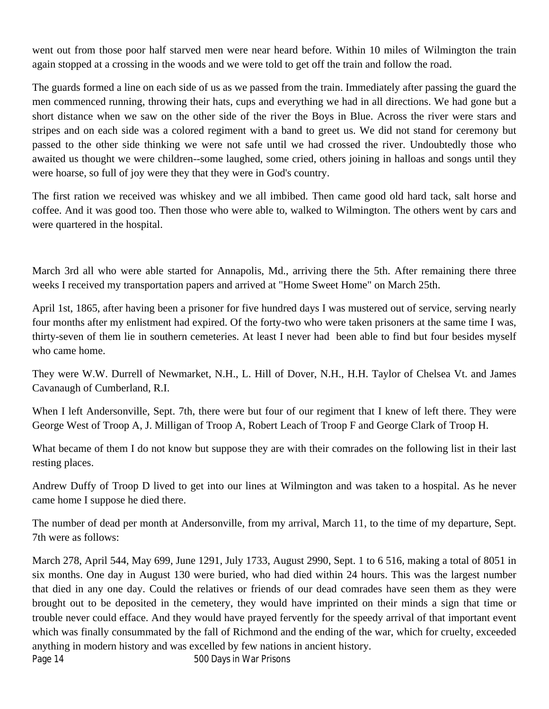went out from those poor half starved men were near heard before. Within 10 miles of Wilmington the train again stopped at a crossing in the woods and we were told to get off the train and follow the road.

The guards formed a line on each side of us as we passed from the train. Immediately after passing the guard the men commenced running, throwing their hats, cups and everything we had in all directions. We had gone but a short distance when we saw on the other side of the river the Boys in Blue. Across the river were stars and stripes and on each side was a colored regiment with a band to greet us. We did not stand for ceremony but passed to the other side thinking we were not safe until we had crossed the river. Undoubtedly those who awaited us thought we were children--some laughed, some cried, others joining in halloas and songs until they were hoarse, so full of joy were they that they were in God's country.

The first ration we received was whiskey and we all imbibed. Then came good old hard tack, salt horse and coffee. And it was good too. Then those who were able to, walked to Wilmington. The others went by cars and were quartered in the hospital.

March 3rd all who were able started for Annapolis, Md., arriving there the 5th. After remaining there three weeks I received my transportation papers and arrived at "Home Sweet Home" on March 25th.

April 1st, 1865, after having been a prisoner for five hundred days I was mustered out of service, serving nearly four months after my enlistment had expired. Of the forty-two who were taken prisoners at the same time I was, thirty-seven of them lie in southern cemeteries. At least I never had been able to find but four besides myself who came home.

They were W.W. Durrell of Newmarket, N.H., L. Hill of Dover, N.H., H.H. Taylor of Chelsea Vt. and James Cavanaugh of Cumberland, R.I.

When I left Andersonville, Sept. 7th, there were but four of our regiment that I knew of left there. They were George West of Troop A, J. Milligan of Troop A, Robert Leach of Troop F and George Clark of Troop H.

What became of them I do not know but suppose they are with their comrades on the following list in their last resting places.

Andrew Duffy of Troop D lived to get into our lines at Wilmington and was taken to a hospital. As he never came home I suppose he died there.

The number of dead per month at Andersonville, from my arrival, March 11, to the time of my departure, Sept. 7th were as follows:

Page 14 **Figure 14** 500 Days in War Prisons March 278, April 544, May 699, June 1291, July 1733, August 2990, Sept. 1 to 6 516, making a total of 8051 in six months. One day in August 130 were buried, who had died within 24 hours. This was the largest number that died in any one day. Could the relatives or friends of our dead comrades have seen them as they were brought out to be deposited in the cemetery, they would have imprinted on their minds a sign that time or trouble never could efface. And they would have prayed fervently for the speedy arrival of that important event which was finally consummated by the fall of Richmond and the ending of the war, which for cruelty, exceeded anything in modern history and was excelled by few nations in ancient history.